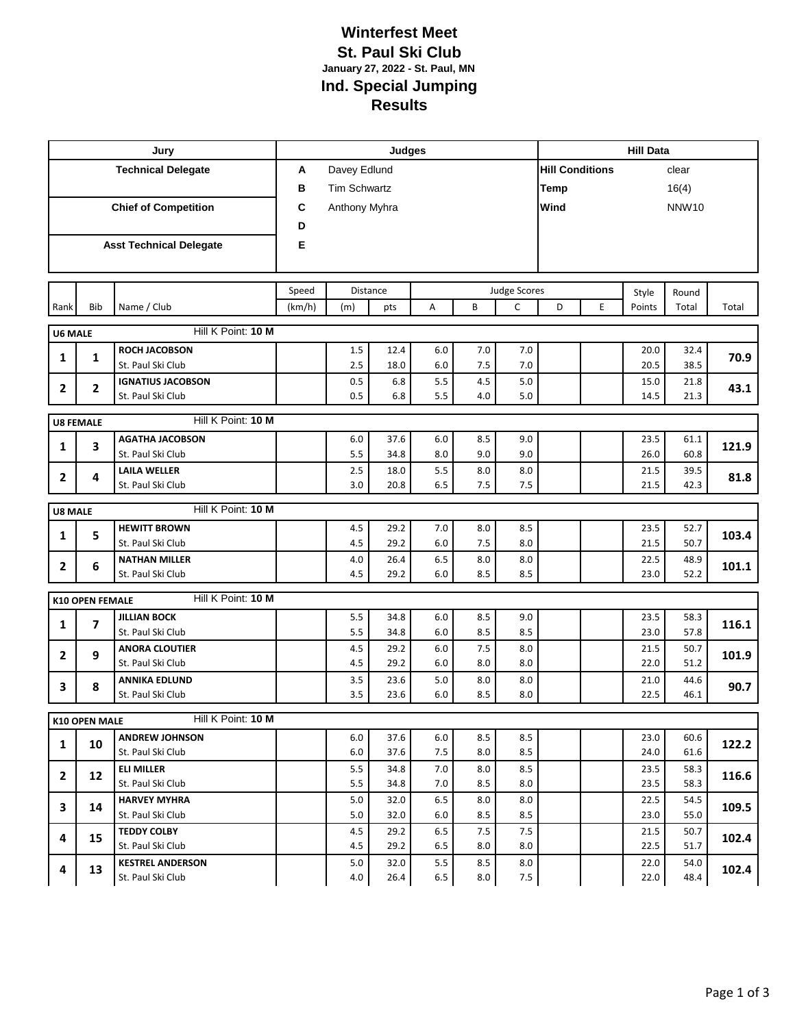## **Winterfest Meet St. Paul Ski Club January 27, 2022 - St. Paul, MN Ind. Special Jumping Results**

| Jury                        |                        |                                         | <b>Judges</b> |                     |                 |            |            |                     |                        | <b>Hill Data</b> |              |              |       |  |
|-----------------------------|------------------------|-----------------------------------------|---------------|---------------------|-----------------|------------|------------|---------------------|------------------------|------------------|--------------|--------------|-------|--|
| <b>Technical Delegate</b>   |                        |                                         | A             | Davey Edlund        |                 |            |            |                     | <b>Hill Conditions</b> |                  |              | clear        |       |  |
|                             |                        |                                         | в             | <b>Tim Schwartz</b> |                 |            |            |                     | <b>Temp</b>            |                  |              | 16(4)        |       |  |
| <b>Chief of Competition</b> |                        |                                         | C             |                     |                 | Wind       |            |                     | <b>NNW10</b>           |                  |              |              |       |  |
|                             |                        |                                         | D             | Anthony Myhra       |                 |            |            |                     |                        |                  |              |              |       |  |
|                             |                        | <b>Asst Technical Delegate</b>          | E             |                     |                 |            |            |                     |                        |                  |              |              |       |  |
|                             |                        |                                         |               |                     |                 |            |            |                     |                        |                  |              |              |       |  |
|                             |                        |                                         |               |                     |                 |            |            |                     |                        |                  |              |              |       |  |
|                             |                        |                                         | Speed         |                     | <b>Distance</b> |            |            | <b>Judge Scores</b> |                        |                  | Style        | Round        |       |  |
| Rank                        | Bib                    | Name / Club                             | (km/h)        | (m)                 | pts             | A          | B          | $\mathsf{C}$        | D                      | E                | Points       | Total        | Total |  |
| <b>U6 MALE</b>              |                        | Hill K Point: 10 M                      |               |                     |                 |            |            |                     |                        |                  |              |              |       |  |
| 1                           | 1                      | <b>ROCH JACOBSON</b>                    |               | 1.5                 | 12.4            | 6.0        | 7.0        | 7.0                 |                        |                  | 20.0         | 32.4         | 70.9  |  |
|                             |                        | St. Paul Ski Club                       |               | 2.5                 | 18.0            | 6.0        | 7.5        | 7.0                 |                        |                  | 20.5         | 38.5         |       |  |
| 2                           | 2                      | <b>IGNATIUS JACOBSON</b>                |               | 0.5                 | 6.8             | 5.5        | 4.5        | 5.0                 |                        |                  | 15.0         | 21.8         | 43.1  |  |
|                             |                        | St. Paul Ski Club                       |               | 0.5                 | 6.8             | 5.5        | 4.0        | 5.0                 |                        |                  | 14.5         | 21.3         |       |  |
| <b>U8 FEMALE</b>            |                        | Hill K Point: 10 M                      |               |                     |                 |            |            |                     |                        |                  |              |              |       |  |
|                             |                        | <b>AGATHA JACOBSON</b>                  |               | $6.0\,$             | 37.6            | 6.0        | 8.5        | 9.0                 |                        |                  | 23.5         | 61.1         |       |  |
| 1                           | 3                      | St. Paul Ski Club                       |               | 5.5                 | 34.8            | 8.0        | 9.0        | 9.0                 |                        |                  | 26.0         | 60.8         | 121.9 |  |
| $\overline{2}$              | 4                      | <b>LAILA WELLER</b>                     |               | 2.5                 | 18.0            | 5.5        | 8.0        | 8.0                 |                        |                  | 21.5         | 39.5         | 81.8  |  |
|                             |                        | St. Paul Ski Club                       |               | 3.0                 | 20.8            | 6.5        | 7.5        | 7.5                 |                        |                  | 21.5         | 42.3         |       |  |
| <b>U8 MALE</b>              |                        | Hill K Point: 10 M                      |               |                     |                 |            |            |                     |                        |                  |              |              |       |  |
|                             |                        | <b>HEWITT BROWN</b>                     |               | 4.5                 | 29.2            | 7.0        | 8.0        | 8.5                 |                        |                  | 23.5         | 52.7         |       |  |
| 1                           | 5                      | St. Paul Ski Club                       |               | 4.5                 | 29.2            | 6.0        | 7.5        | 8.0                 |                        |                  | 21.5         | 50.7         | 103.4 |  |
| $\mathbf{2}$                | 6                      | <b>NATHAN MILLER</b>                    |               | 4.0                 | 26.4            | 6.5        | 8.0        | 8.0                 |                        |                  | 22.5         | 48.9         | 101.1 |  |
|                             |                        | St. Paul Ski Club                       |               | 4.5                 | 29.2            | 6.0        | 8.5        | 8.5                 |                        |                  | 23.0         | 52.2         |       |  |
|                             | <b>K10 OPEN FEMALE</b> | Hill K Point: 10 M                      |               |                     |                 |            |            |                     |                        |                  |              |              |       |  |
|                             |                        | <b>JILLIAN BOCK</b>                     |               | 5.5                 | 34.8            | 6.0        | 8.5        | 9.0                 |                        |                  | 23.5         | 58.3         |       |  |
| 1                           | 7                      | St. Paul Ski Club                       |               | 5.5                 | 34.8            | 6.0        | 8.5        | 8.5                 |                        |                  | 23.0         | 57.8         | 116.1 |  |
| $\mathbf{2}$                | 9                      | <b>ANORA CLOUTIER</b>                   |               | 4.5                 | 29.2            | 6.0        | 7.5        | 8.0                 |                        |                  | 21.5         | 50.7         | 101.9 |  |
|                             |                        | St. Paul Ski Club                       |               | 4.5                 | 29.2            | 6.0        | 8.0        | 8.0                 |                        |                  | 22.0         | 51.2         |       |  |
| 3                           | 8                      | <b>ANNIKA EDLUND</b>                    |               | 3.5                 | 23.6            | 5.0        | 8.0        | 8.0                 |                        |                  | 21.0         | 44.6         | 90.7  |  |
|                             |                        | St. Paul Ski Club                       |               | 3.5                 | 23.6            | 6.0        | 8.5        | 8.0                 |                        |                  | 22.5         | 46.1         |       |  |
|                             | K10 OPEN MALE          | Hill K Point: 10 M                      |               |                     |                 |            |            |                     |                        |                  |              |              |       |  |
| 1                           | 10                     | <b>ANDREW JOHNSON</b>                   |               | 6.0                 | 37.6            | 6.0        | 8.5        | 8.5                 |                        |                  | 23.0         | 60.6         | 122.2 |  |
|                             |                        | St. Paul Ski Club                       |               | 6.0                 | 37.6            | 7.5        | 8.0        | 8.5                 |                        |                  | 24.0         | 61.6         |       |  |
| $\mathbf{2}$                | 12                     | <b>ELI MILLER</b>                       |               | 5.5                 | 34.8            | 7.0        | 8.0        | 8.5                 |                        |                  | 23.5         | 58.3         | 116.6 |  |
|                             |                        | St. Paul Ski Club                       |               | 5.5                 | 34.8            | 7.0        | 8.5        | 8.0                 |                        |                  | 23.5         | 58.3         |       |  |
| 3                           | 14                     | <b>HARVEY MYHRA</b>                     |               | 5.0                 | 32.0            | 6.5        | 8.0        | 8.0                 |                        |                  | 22.5         | 54.5         | 109.5 |  |
|                             |                        | St. Paul Ski Club<br><b>TEDDY COLBY</b> |               | 5.0<br>4.5          | 32.0<br>29.2    | 6.0<br>6.5 | 8.5<br>7.5 | 8.5                 |                        |                  | 23.0<br>21.5 | 55.0<br>50.7 |       |  |
| 4                           | 15                     | St. Paul Ski Club                       |               | 4.5                 | 29.2            | 6.5        | 8.0        | 7.5<br>8.0          |                        |                  | 22.5         | 51.7         | 102.4 |  |
|                             |                        | <b>KESTREL ANDERSON</b>                 |               | 5.0                 | 32.0            | 5.5        | 8.5        | 8.0                 |                        |                  | 22.0         | 54.0         |       |  |
| 4                           | 13                     | St. Paul Ski Club                       |               | 4.0                 | 26.4            | 6.5        | 8.0        | 7.5                 |                        |                  | 22.0         | 48.4         | 102.4 |  |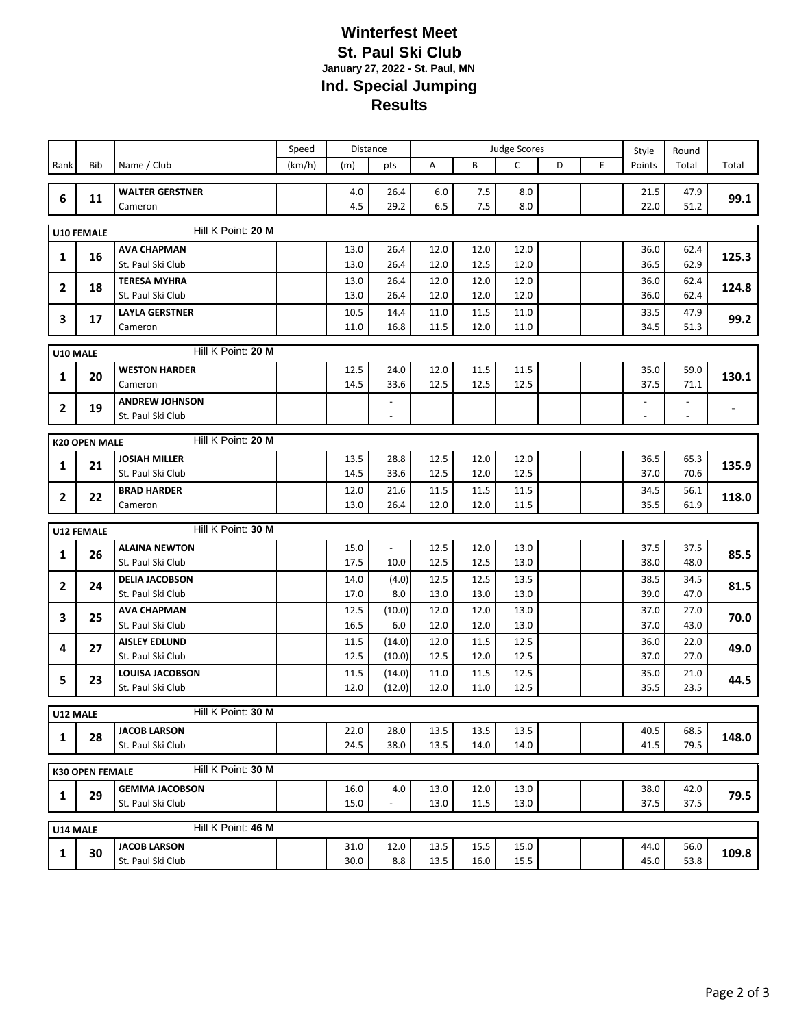## **Winterfest Meet St. Paul Ski Club January 27, 2022 - St. Paul, MN Ind. Special Jumping Results**

|                                            |                                              |                                            | Speed  | <b>Distance</b> |                          | <b>Judge Scores</b> |              |              | Style | Round |              |                |                |
|--------------------------------------------|----------------------------------------------|--------------------------------------------|--------|-----------------|--------------------------|---------------------|--------------|--------------|-------|-------|--------------|----------------|----------------|
| Rank                                       | Bib                                          | Name / Club                                | (km/h) | (m)             | pts                      | Α                   | B            | C            | D     | E     | Points       | Total          | Total          |
|                                            |                                              |                                            |        |                 |                          |                     |              |              |       |       |              |                |                |
| 6                                          | 11                                           | <b>WALTER GERSTNER</b>                     |        | 4.0             | 26.4                     | $6.0$               | 7.5          | 8.0          |       |       | 21.5         | 47.9           | 99.1           |
|                                            |                                              | Cameron                                    |        | 4.5             | 29.2                     | 6.5                 | 7.5          | 8.0          |       |       | 22.0         | 51.2           |                |
|                                            | Hill K Point: 20 M<br><b>U10 FEMALE</b>      |                                            |        |                 |                          |                     |              |              |       |       |              |                |                |
|                                            | 16                                           | <b>AVA CHAPMAN</b>                         |        | 13.0            | 26.4                     | 12.0                | 12.0         | 12.0         |       |       | 36.0         | 62.4           | 125.3          |
| 1                                          |                                              | St. Paul Ski Club                          |        | 13.0            | 26.4                     | 12.0                | 12.5         | 12.0         |       |       | 36.5         | 62.9           |                |
| 2                                          | 18                                           | <b>TERESA MYHRA</b>                        |        | 13.0            | 26.4                     | 12.0                | 12.0         | 12.0         |       |       | 36.0         | 62.4           | 124.8          |
|                                            |                                              | St. Paul Ski Club                          |        | 13.0            | 26.4                     | 12.0                | 12.0         | 12.0         |       |       | 36.0         | 62.4           |                |
| 3                                          | 17                                           | <b>LAYLA GERSTNER</b>                      |        | 10.5            | 14.4                     | 11.0                | 11.5         | 11.0         |       |       | 33.5         | 47.9           | 99.2           |
|                                            |                                              | Cameron                                    |        | 11.0            | 16.8                     | 11.5                | 12.0         | 11.0         |       |       | 34.5         | 51.3           |                |
| Hill K Point: 20 M<br>U10 MALE             |                                              |                                            |        |                 |                          |                     |              |              |       |       |              |                |                |
|                                            |                                              | <b>WESTON HARDER</b>                       |        | 12.5            | 24.0                     | 12.0                | 11.5         | 11.5         |       |       | 35.0         | 59.0           |                |
| 1                                          | 20                                           | Cameron                                    |        | 14.5            | 33.6                     | 12.5                | 12.5         | 12.5         |       |       | 37.5         | 71.1           | 130.1          |
| 2                                          | 19                                           | <b>ANDREW JOHNSON</b>                      |        |                 | $\overline{\phantom{a}}$ |                     |              |              |       |       |              |                |                |
|                                            |                                              | St. Paul Ski Club                          |        |                 | $\blacksquare$           |                     |              |              |       |       |              | $\blacksquare$ | $\blacksquare$ |
| Hill K Point: 20 M<br><b>K20 OPEN MALE</b> |                                              |                                            |        |                 |                          |                     |              |              |       |       |              |                |                |
|                                            |                                              | <b>JOSIAH MILLER</b>                       |        | 13.5            | 28.8                     | 12.5                | 12.0         | 12.0         |       |       | 36.5         | 65.3           |                |
| 1                                          | 21                                           | St. Paul Ski Club                          |        | 14.5            | 33.6                     | 12.5                | 12.0         | 12.5         |       |       | 37.0         | 70.6           | 135.9          |
|                                            |                                              | <b>BRAD HARDER</b>                         |        | 12.0            | 21.6                     | 11.5                | 11.5         | 11.5         |       |       | 34.5         | 56.1           |                |
| 2                                          | 22                                           | Cameron                                    |        | 13.0            | 26.4                     | 12.0                | 12.0         | 11.5         |       |       | 35.5         | 61.9           | 118.0          |
|                                            |                                              |                                            |        |                 |                          |                     |              |              |       |       |              |                |                |
|                                            | Hill K Point: 30 M<br><b>U12 FEMALE</b>      |                                            |        |                 |                          |                     |              |              |       |       |              |                |                |
| 1                                          | 26                                           | <b>ALAINA NEWTON</b>                       |        | 15.0            | $\overline{\phantom{a}}$ | 12.5                | 12.0         | 13.0         |       |       | 37.5         | 37.5           | 85.5           |
|                                            |                                              | St. Paul Ski Club                          |        | 17.5            | 10.0                     | 12.5                | 12.5         | 13.0         |       |       | 38.0         | 48.0           |                |
| $\overline{2}$                             | 24                                           | <b>DELIA JACOBSON</b><br>St. Paul Ski Club |        | 14.0<br>17.0    | (4.0)<br>8.0             | 12.5<br>13.0        | 12.5<br>13.0 | 13.5<br>13.0 |       |       | 38.5<br>39.0 | 34.5<br>47.0   | 81.5           |
|                                            |                                              | <b>AVA CHAPMAN</b>                         |        | 12.5            | (10.0)                   | 12.0                | 12.0         | 13.0         |       |       | 37.0         | 27.0           |                |
| 3                                          | 25                                           | St. Paul Ski Club                          |        | 16.5            | 6.0                      | 12.0                | 12.0         | 13.0         |       |       | 37.0         | 43.0           | 70.0           |
|                                            |                                              | <b>AISLEY EDLUND</b>                       |        | 11.5            | (14.0)                   | 12.0                | 11.5         | 12.5         |       |       | 36.0         | 22.0           |                |
| 4                                          | 27                                           | St. Paul Ski Club                          |        | 12.5            | (10.0)                   | 12.5                | 12.0         | 12.5         |       |       | 37.0         | 27.0           | 49.0           |
|                                            | 23                                           | <b>LOUISA JACOBSON</b>                     |        | 11.5            | (14.0)                   | 11.0                | 11.5         | 12.5         |       |       | 35.0         | 21.0           |                |
| 5                                          |                                              | St. Paul Ski Club                          |        | 12.0            | (12.0)                   | 12.0                | 11.0         | 12.5         |       |       | 35.5         | 23.5           | 44.5           |
| U12 MALE                                   |                                              | Hill K Point: 30 M                         |        |                 |                          |                     |              |              |       |       |              |                |                |
|                                            |                                              | <b>JACOB LARSON</b>                        |        | 22.0            | 28.0                     | 13.5                | 13.5         | 13.5         |       |       | 40.5         | 68.5           |                |
| 1                                          | 28                                           | St. Paul Ski Club                          |        | 24.5            | 38.0                     | 13.5                | 14.0         | 14.0         |       |       | 41.5         | 79.5           | 148.0          |
|                                            |                                              |                                            |        |                 |                          |                     |              |              |       |       |              |                |                |
|                                            | Hill K Point: 30 M<br><b>K30 OPEN FEMALE</b> |                                            |        |                 |                          |                     |              |              |       |       |              |                |                |
| 1                                          | 29                                           | <b>GEMMA JACOBSON</b>                      |        | 16.0            | 4.0                      | 13.0                | 12.0         | 13.0         |       |       | 38.0         | 42.0           | 79.5           |
|                                            |                                              | St. Paul Ski Club                          |        | 15.0            | $\blacksquare$           | 13.0                | 11.5         | 13.0         |       |       | 37.5         | 37.5           |                |
| Hill K Point: 46 M<br>U14 MALE             |                                              |                                            |        |                 |                          |                     |              |              |       |       |              |                |                |
|                                            |                                              | <b>JACOB LARSON</b>                        |        | 31.0            | 12.0                     | 13.5                | 15.5         | 15.0         |       |       | 44.0         | 56.0           |                |
| 1                                          | 30                                           | St. Paul Ski Club                          |        | 30.0            | 8.8                      | 13.5                | 16.0         | 15.5         |       |       | 45.0         | 53.8           | 109.8          |
|                                            |                                              |                                            |        |                 |                          |                     |              |              |       |       |              |                |                |